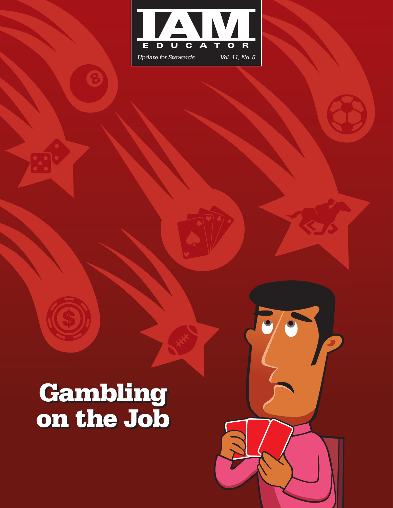

# Gambling on the Job

8

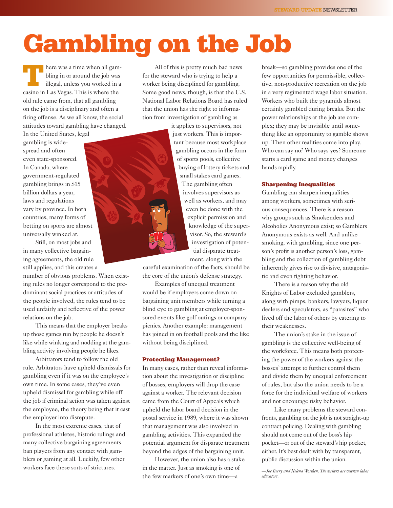# Gambling on the Job

here was a time when all gambling in or around the job was illegal, unless you worked in a casino in Las Vegas. This is where the old rule came from, that all gambling on the job is a disciplinary and often a firing offense. As we all know, the social attitudes toward gambling have changed.

In the United States, legal gambling is widespread and often even state-sponsored. In Canada, where government-regulated gambling brings in \$15 billion dollars a year, laws and regulations vary by province. In both countries, many forms of betting on sports are almost universally winked at.

Still, on most jobs and in many collective bargaining agreements, the old rule still applies, and this creates a

number of obvious problems. When existing rules no longer correspond to the predominant social practices or attitudes of the people involved, the rules tend to be used unfairly and reflective of the power relations on the job.

This means that the employer breaks up those games run by people he doesn't like while winking and nodding at the gambling activity involving people he likes.

Arbitrators tend to follow the old rule. Arbitrators have upheld dismissals for gambling even if it was on the employee's own time. In some cases, they've even upheld dismissal for gambling while off the job if criminal action was taken against the employee, the theory being that it cast the employer into disrepute.

In the most extreme cases, that of professional athletes, historic rulings and many collective bargaining agreements ban players from any contact with gamblers or gaming at all. Luckily, few other workers face these sorts of strictures.

All of this is pretty much bad news for the steward who is trying to help a worker being disciplined for gambling. Some good news, though, is that the U.S. National Labor Relations Board has ruled that the union has the right to information from investigation of gambling as

> it applies to supervisors, not just workers. This is important because most workplace gambling occurs in the form of sports pools, collective buying of lottery tickets and small stakes card games.

> > The gambling often involves supervisors as well as workers, and may even be done with the explicit permission and knowledge of the supervisor. So, the steward's investigation of potential disparate treatment, along with the

careful examination of the facts, should be the core of the union's defense strategy.

Examples of unequal treatment would be if employers come down on bargaining unit members while turning a blind eye to gambling at employer-sponsored events like golf outings or company picnics. Another example: management has joined in on football pools and the like without being disciplined.

#### Protecting Management?

In many cases, rather than reveal information about the investigation or discipline of bosses, employers will drop the case against a worker. The relevant decision came from the Court of Appeals which upheld the labor board decision in the postal service in 1989, where it was shown that management was also involved in gambling activities. This expanded the potential argument for disparate treatment beyond the edges of the bargaining unit.

However, the union also has a stake in the matter. Just as smoking is one of the few markers of one's own time—a

break—so gambling provides one of the few opportunities for permissible, collective, non-productive recreation on the job in a very regimented wage labor situation. Workers who built the pyramids almost certainly gambled during breaks. But the power relationships at the job are complex; they may be invisible until something like an opportunity to gamble shows up. Then other realities come into play. Who can say no? Who says yes? Someone starts a card game and money changes hands rapidly.

#### Sharpening Inequalities

Gambling can sharpen inequalities among workers, sometimes with serious consequences. There is a reason why groups such as Smokenders and Alcoholics Anonymous exist; so Gamblers Anonymous exists as well. And unlike smoking, with gambling, since one person's profit is another person's loss, gambling and the collection of gambling debt inherently gives rise to divisive, antagonistic and even fighting behavior.

There is a reason why the old Knights of Labor excluded gamblers, along with pimps, bankers, lawyers, liquor dealers and speculators, as "parasites" who lived off the labor of others by catering to their weaknesses.

The union's stake in the issue of gambling is the collective well-being of the workforce. This means both protecting the power of the workers against the bosses' attempt to further control them and divide them by unequal enforcement of rules, but also the union needs to be a force for the individual welfare of workers and not encourage risky behavior.

Like many problems the steward confronts, gambling on the job is not straight-up contract policing. Dealing with gambling should not come out of the boss's hip pocket—or out of the steward's hip pocket, either. It's best dealt with by transparent, public discussion within the union.

*—Joe Berry and Helena Worthen. The writers are veteran labor educators.*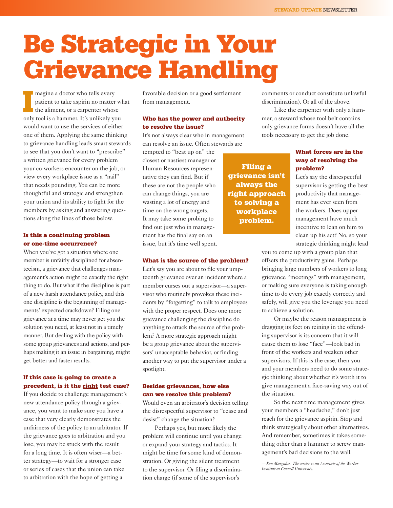# Be Strategic in Your Grievance Handling

magine a doctor who tells every<br>patient to take aspirin no matter wl<br>the aliment, or a carpenter whose<br>only tool is a hammer. It's unlikely you magine a doctor who tells every patient to take aspirin no matter what I the aliment, or a carpenter whose would want to use the services of either one of them. Applying the same thinking to grievance handling leads smart stewards to see that you don't want to "prescribe" a written grievance for every problem your co-workers encounter on the job, or view every workplace issue as a "nail" that needs pounding. You can be more thoughtful and strategic and strengthen your union and its ability to fight for the members by asking and answering questions along the lines of those below.

### Is this a continuing problem or one-time occurrence?

When you've got a situation where one member is unfairly disciplined for absenteeism, a grievance that challenges management's action might be exactly the right thing to do. But what if the discipline is part of a new harsh attendance policy, and this one discipline is the beginning of managements' expected crackdown? Filing one grievance at a time may never get you the solution you need, at least not in a timely manner. But dealing with the policy with some group grievances and actions, and perhaps making it an issue in bargaining, might get better and faster results.

### If this case is going to create a precedent, is it the right test case?

If you decide to challenge management's new attendance policy through a grievance, you want to make sure you have a case that very clearly demonstrates the unfairness of the policy to an arbitrator. If the grievance goes to arbitration and you lose, you may be stuck with the result for a long time. It is often wiser—a better strategy—to wait for a stronger case or series of cases that the union can take to arbitration with the hope of getting a

favorable decision or a good settlement from management.

## Who has the power and authority to resolve the issue?

It's not always clear who in management can resolve an issue. Often stewards are

tempted to "beat up on" the closest or nastiest manager or Human Resources representative they can find. But if these are not the people who can change things, you are wasting a lot of energy and time on the wrong targets. It may take some probing to find out just who in management has the final say on an issue, but it's time well spent.

#### What is the source of the problem?

Let's say you are about to file your umpteenth grievance over an incident where a member curses out a supervisor—a supervisor who routinely provokes these incidents by "forgetting" to talk to employees with the proper respect. Does one more grievance challenging the discipline do anything to attack the source of the problem? A more strategic approach might be a group grievance about the supervisors' unacceptable behavior, or finding another way to put the supervisor under a spotlight.

### Besides grievances, how else can we resolve this problem?

Would even an arbitrator's decision telling the disrespectful supervisor to "cease and desist" change the situation?

Perhaps yes, but more likely the problem will continue until you change or expand your strategy and tactics. It might be time for some kind of demonstration. Or giving the silent treatment to the supervisor. Or filing a discrimination charge (if some of the supervisor's

comments or conduct constitute unlawful discrimination). Or all of the above.

Like the carpenter with only a hammer, a steward whose tool belt contains only grievance forms doesn't have all the tools necessary to get the job done.

### What forces are in the way of resolving the problem?

Let's say the disrespectful supervisor is getting the best productivity that management has ever seen from the workers. Does upper management have much incentive to lean on him to clean up his act? No, so your strategic thinking might lead

you to come up with a group plan that offsets the productivity gains. Perhaps bringing large numbers of workers to long grievance "meetings" with management, or making sure everyone is taking enough time to do every job exactly correctly and safely, will give you the leverage you need to achieve a solution.

Or maybe the reason management is dragging its feet on reining in the offending supervisor is its concern that it will cause them to lose "face"—look bad in front of the workers and weaken other supervisors. If this is the case, then you and your members need to do some strategic thinking about whether it's worth it to give management a face-saving way out of the situation.

So the next time management gives your members a "headache," don't just reach for the grievance aspirin. Stop and think strategically about other alternatives. And remember, sometimes it takes something other than a hammer to screw management's bad decisions to the wall.

*—Ken Margolies. The writer is an Associate of the Worker Institute at Cornell University.*

Filing a grievance isn't always the right approach to solving a workplace problem.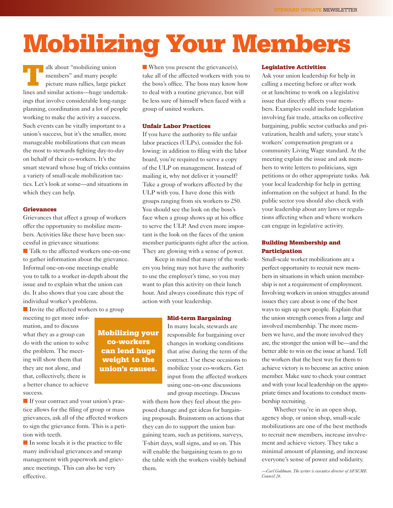# Mobilizing Your Members

alk about "mobilizing union<br>
members" and many people<br>
picture mass rallies, large pic<br>
lines and similar actions members" and many people picture mass rallies, large picket lines and similar actions—huge undertakings that involve considerable long-range planning, coordination and a lot of people working to make the activity a success. Such events can be vitally important to a union's success, but it's the smaller, more manageable mobilizations that can mean the most to stewards fighting day-to-day on behalf of their co-workers. It's the smart steward whose bag of tricks contains a variety of small-scale mobilization tactics. Let's look at some—and situations in which they can help.

#### Grievances

Grievances that affect a group of workers offer the opportunity to mobilize members. Activities like these have been successful in grievance situations: ■ Talk to the affected workers one-on-one

to gather information about the grievance. Informal one-on-one meetings enable you to talk to a worker in-depth about the issue and to explain what the union can do. It also shows that you care about the individual worker's problems.

■ Invite the affected workers to a group

Mobilizing your co-workers can lend huge weight to the union's causes.

meeting to get more information, and to discuss what they as a group can do with the union to solve the problem. The meeting will show them that they are not alone, and that, collectively, there is a better chance to achieve success.

■ If your contract and your union's practice allows for the filing of group or mass grievances, ask all of the affected workers to sign the grievance form. This is a petition with teeth.

■ In some locals it is the practice to file many individual grievances and swamp management with paperwork and grievance meetings. This can also be very effective.

■ When you present the grievance(s), take all of the affected workers with you to the boss's office. The boss may know how to deal with a routine grievance, but will be less sure of himself when faced with a group of united workers.

#### Unfair Labor Practices

If you have the authority to file unfair labor practices (ULPs), consider the following: in addition to filing with the labor board, you're required to serve a copy of the ULP on management. Instead of mailing it, why not deliver it yourself? Take a group of workers affected by the ULP with you. I have done this with groups ranging from six workers to 250. You should see the look on the boss's face when a group shows up at his office to serve the ULP. And even more important is the look on the faces of the union member participants right after the action. They are glowing with a sense of power.

Keep in mind that many of the workers you bring may not have the authority to use the employer's time, so you may want to plan this activity on their lunch hour. And always coordinate this type of action with your leadership.

#### Mid-term Bargaining

In many locals, stewards are responsible for bargaining over changes in working conditions that arise during the term of the contract. Use these occasions to mobilize your co-workers. Get input from the affected workers using one-on-one discussions and group meetings. Discuss

with them how they feel about the proposed change and get ideas for bargaining proposals. Brainstorm on actions that they can do to support the union bargaining team, such as petitions, surveys, T-shirt days, wall signs, and so on. This will enable the bargaining team to go to the table with the workers visibly behind them.

#### Legislative Activities

Ask your union leadership for help in calling a meeting before or after work or at lunchtime to work on a legislative issue that directly affects your members. Examples could include legislation involving fair trade, attacks on collective bargaining, public sector cutbacks and privatization, health and safety, your state's workers' compensation program or a community Living Wage standard. At the meeting explain the issue and ask members to write letters to politicians, sign petitions or do other appropriate tasks. Ask your local leadership for help in getting information on the subject at hand. In the public sector you should also check with your leadership about any laws or regulations affecting when and where workers can engage in legislative activity.

## Building Membership and **Participation**

Small-scale worker mobilizations are a perfect opportunity to recruit new members in situations in which union membership is not a requirement of employment. Involving workers in union struggles around issues they care about is one of the best ways to sign up new people. Explain that the union strength comes from a large and involved membership. The more members we have, and the more involved they are, the stronger the union will be—and the better able to win on the issue at hand. Tell the workers that the best way for them to achieve victory is to become an active union member. Make sure to check your contract and with your local leadership on the appropriate times and locations to conduct membership recruiting.

Whether you're in an open shop, agency shop, or union shop, small-scale mobilizations are one of the best methods to recruit new members, increase involvement and achieve victory. They take a minimal amount of planning, and increase everyone's sense of power and solidarity.

*—Carl Goldman. The writer is executive director of AFSCME Council 26.*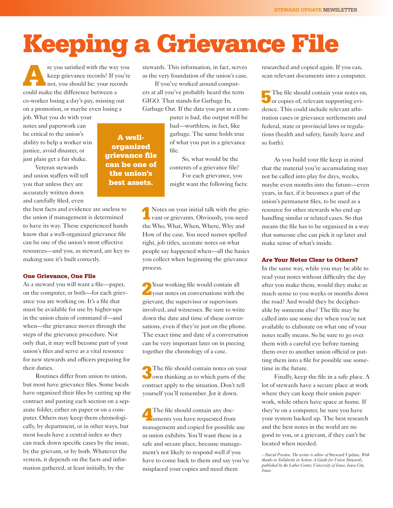# Keeping a Grievance File

re you satisfied with the way you<br>keep grievance records? If you're<br>not, you should be: your records keep grievance records? If you're not, you should be: your records could make the difference between a co-worker losing a day's pay, missing out on a promotion, or maybe even losing a

job. What you do with your notes and paperwork can be critical to the union's ability to help a worker win justice, avoid disaster, or just plain get a fair shake.

Veteran stewards and union staffers will tell you that unless they are accurately written down and carefully filed, even

the best facts and evidence are useless to the union if management is determined to have its way. These experienced hands know that a well-organized grievance file can be one of the union's most effective resources—and you, as steward, are key to making sure it's built correctly.

#### One Grievance, One File

As a steward you will want a file—paper, on the computer, or both—for each grievance you are working on. It's a file that must be available for use by higher-ups in the union chain of command if—and when—the grievance moves through the steps of the grievance procedure. Not only that, it may well become part of your union's files and serve as a vital resource for new stewards and officers preparing for their duties.

Routines differ from union to union, but most have grievance files. Some locals have organized their files by cutting up the contract and pasting each section on a separate folder, either on paper or on a computer. Others may keep them chronologically, by department, or in other ways, but most locals have a central index so they can track down specific cases by the issue, by the grievant, or by both. Whatever the system, it depends on the facts and information gathered, at least initially, by the

stewards. This information, in fact, serves as the very foundation of the union's case.

If you've worked around computers at all you've probably heard the term GIGO. That stands for Garbage In, Garbage Out. If the data you put in a com-

> puter is bad, the output will be bad—worthless, in fact, like garbage. The same holds true of what you put in a grievance file.

So, what would be the contents of a grievance file?

For each grievance, you might want the following facts:

1Notes on your initial talk with the grie-vant or grievants. Obviously, you need the Who, What, When, Where, Why and How of the case. You need names spelled right, job titles, accurate notes on what people say happened when—all the basics you collect when beginning the grievance process.

2Your working file would contain all your notes on conversations with the grievant, the supervisor or supervisors involved, and witnesses. Be sure to write down the date and time of these conversations, even if they're just on the phone. The exact time and date of a conversation can be very important later on in piecing together the chronology of a case.

The file should contain notes on your<br>own thinking as to which parts of the contract apply to the situation. Don't tell yourself you'll remember. Jot it down.

4The file should contain any doc-uments you have requested from management and copied for possible use as union exhibits. You'll want these in a safe and secure place, because management's not likely to respond well if you have to come back to them and say you've misplaced your copies and need them

researched and copied again. If you can, scan relevant documents into a computer.

The file should contain your notes on,<br>or copies of, relevant supporting evidence. This could include relevant arbitration cases or grievance settlements and federal, state or provincial laws or regulations (health and safety, family leave and so forth).

As you build your file keep in mind that the material you're accumulating may not be called into play for days, weeks, maybe even months into the future—even years, in fact, if it becomes a part of the union's permanent files, to be used as a resource for other stewards who end up handling similar or related cases. So that means the file has to be organized in a way that someone else can pick it up later and make sense of what's inside.

#### Are Your Notes Clear to Others?

In the same way, while you may be able to read your notes without difficulty the day after you make them, would they make as much sense to you weeks or months down the road? And would they be decipherable by someone else? The file may be called into use some day when you're not available to elaborate on what one of your notes really means. So be sure to go over them with a careful eye before turning them over to another union official or putting them into a file for possible use sometime in the future.

Finally, keep the file in a safe place. A lot of stewards have a secure place at work where they can keep their union paperwork, while others have space at home. If they're on a computer, be sure you have your system backed up. The best research and the best notes in the world are no good to you, or a grievant, if they can't be located when needed.

*– David Prosten. The writer is editor of* Steward Update*. With thanks to Solidarity in Action: A Guide for Union Stewards, published by the Labor Center, University of Iowa, Iowa City, Iowa.*

# A wellorganized grievance file can be one of the union's best assets.